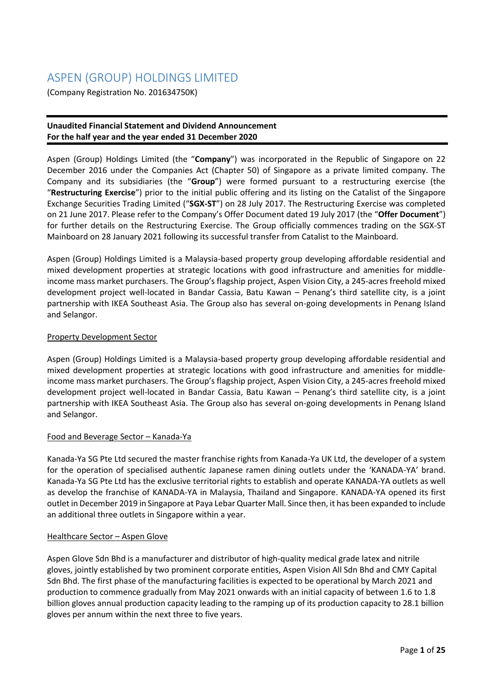# ASPEN (GROUP) HOLDINGS LIMITED

(Company Registration No. 201634750K)

## **Unaudited Financial Statement and Dividend Announcement For the half year and the year ended 31 December 2020**

Aspen (Group) Holdings Limited (the "**Company**") was incorporated in the Republic of Singapore on 22 December 2016 under the Companies Act (Chapter 50) of Singapore as a private limited company. The Company and its subsidiaries (the "**Group**") were formed pursuant to a restructuring exercise (the "**Restructuring Exercise**") prior to the initial public offering and its listing on the Catalist of the Singapore Exchange Securities Trading Limited ("**SGX-ST**") on 28 July 2017. The Restructuring Exercise was completed on 21 June 2017. Please refer to the Company's Offer Document dated 19 July 2017 (the "**Offer Document**") for further details on the Restructuring Exercise. The Group officially commences trading on the SGX-ST Mainboard on 28 January 2021 following its successful transfer from Catalist to the Mainboard.

Aspen (Group) Holdings Limited is a Malaysia-based property group developing affordable residential and mixed development properties at strategic locations with good infrastructure and amenities for middleincome mass market purchasers. The Group's flagship project, Aspen Vision City, a 245-acres freehold mixed development project well-located in Bandar Cassia, Batu Kawan – Penang's third satellite city, is a joint partnership with IKEA Southeast Asia. The Group also has several on-going developments in Penang Island and Selangor.

## Property Development Sector

Aspen (Group) Holdings Limited is a Malaysia-based property group developing affordable residential and mixed development properties at strategic locations with good infrastructure and amenities for middleincome mass market purchasers. The Group's flagship project, Aspen Vision City, a 245-acres freehold mixed development project well-located in Bandar Cassia, Batu Kawan – Penang's third satellite city, is a joint partnership with IKEA Southeast Asia. The Group also has several on-going developments in Penang Island and Selangor.

## Food and Beverage Sector – Kanada-Ya

Kanada-Ya SG Pte Ltd secured the master franchise rights from Kanada-Ya UK Ltd, the developer of a system for the operation of specialised authentic Japanese ramen dining outlets under the 'KANADA-YA' brand. Kanada-Ya SG Pte Ltd has the exclusive territorial rights to establish and operate KANADA-YA outlets as well as develop the franchise of KANADA-YA in Malaysia, Thailand and Singapore. KANADA-YA opened its first outlet in December 2019 in Singapore at Paya Lebar Quarter Mall. Since then, it has been expanded to include an additional three outlets in Singapore within a year.

## Healthcare Sector - Aspen Glove

Aspen Glove Sdn Bhd is a manufacturer and distributor of high-quality medical grade latex and nitrile gloves, jointly established by two prominent corporate entities, Aspen Vision All Sdn Bhd and CMY Capital Sdn Bhd. The first phase of the manufacturing facilities is expected to be operational by March 2021 and production to commence gradually from May 2021 onwards with an initial capacity of between 1.6 to 1.8 billion gloves annual production capacity leading to the ramping up of its production capacity to 28.1 billion gloves per annum within the next three to five years.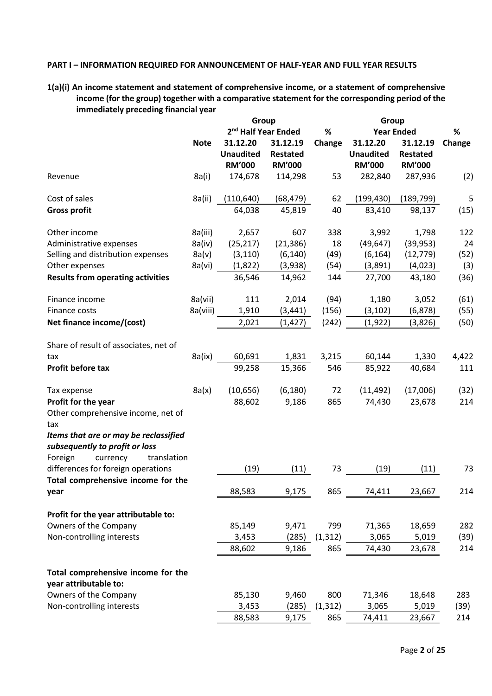#### **PART I – INFORMATION REQUIRED FOR ANNOUNCEMENT OF HALF-YEAR AND FULL YEAR RESULTS**

**1(a)(i) An income statement and statement of comprehensive income, or a statement of comprehensive income (for the group) together with a comparative statement for the corresponding period of the immediately preceding financial year**

|                                                             |             | Group                           |                 |          | Group             |                 |        |  |
|-------------------------------------------------------------|-------------|---------------------------------|-----------------|----------|-------------------|-----------------|--------|--|
|                                                             |             | 2 <sup>nd</sup> Half Year Ended |                 | %        | <b>Year Ended</b> | %               |        |  |
|                                                             | <b>Note</b> | 31.12.20                        | 31.12.19        | Change   | 31.12.20          | 31.12.19        | Change |  |
|                                                             |             | <b>Unaudited</b>                | <b>Restated</b> |          | <b>Unaudited</b>  | <b>Restated</b> |        |  |
|                                                             |             | <b>RM'000</b>                   | <b>RM'000</b>   |          | <b>RM'000</b>     | <b>RM'000</b>   |        |  |
| Revenue                                                     | 8a(i)       | 174,678                         | 114,298         | 53       | 282,840           | 287,936         | (2)    |  |
| Cost of sales                                               | 8a(ii)      | (110, 640)                      | (68, 479)       | 62       | (199, 430)        | (189, 799)      | 5      |  |
| <b>Gross profit</b>                                         |             | 64,038                          | 45,819          | 40       | 83,410            | 98,137          | (15)   |  |
| Other income                                                | 8a(iii)     | 2,657                           | 607             | 338      | 3,992             | 1,798           | 122    |  |
| Administrative expenses                                     | 8a(iv)      | (25, 217)                       | (21, 386)       | 18       | (49, 647)         | (39, 953)       | 24     |  |
| Selling and distribution expenses                           | 8a(v)       | (3, 110)                        | (6, 140)        | (49)     | (6, 164)          | (12, 779)       | (52)   |  |
| Other expenses                                              | 8a(vi)      | (1,822)                         | (3,938)         | (54)     | (3,891)           | (4,023)         | (3)    |  |
| <b>Results from operating activities</b>                    |             | 36,546                          | 14,962          | 144      | 27,700            | 43,180          | (36)   |  |
| Finance income                                              | 8a(vii)     | 111                             | 2,014           | (94)     | 1,180             | 3,052           | (61)   |  |
| Finance costs                                               | 8a(viii)    | 1,910                           | (3, 441)        | (156)    | (3, 102)          | (6, 878)        | (55)   |  |
| Net finance income/(cost)                                   |             | 2,021                           | (1, 427)        | (242)    | (1, 922)          | (3,826)         | (50)   |  |
| Share of result of associates, net of                       |             |                                 |                 |          |                   |                 |        |  |
| tax                                                         | 8a(ix)      | 60,691                          | 1,831           | 3,215    | 60,144            | 1,330           | 4,422  |  |
| Profit before tax                                           |             | 99,258                          | 15,366          | 546      | 85,922            | 40,684          | 111    |  |
| Tax expense                                                 | 8a(x)       | (10, 656)                       | (6, 180)        | 72       | (11, 492)         | (17,006)        | (32)   |  |
| Profit for the year                                         |             | 88,602                          | 9,186           | 865      | 74,430            | 23,678          | 214    |  |
| Other comprehensive income, net of<br>tax                   |             |                                 |                 |          |                   |                 |        |  |
| Items that are or may be reclassified                       |             |                                 |                 |          |                   |                 |        |  |
| subsequently to profit or loss                              |             |                                 |                 |          |                   |                 |        |  |
| Foreign<br>currency<br>translation                          |             |                                 |                 |          |                   |                 |        |  |
| differences for foreign operations                          |             | (19)                            | (11)            | 73       | (19)              | (11)            | 73     |  |
| Total comprehensive income for the                          |             |                                 |                 |          |                   |                 |        |  |
| year                                                        |             | 88,583                          | 9,175           | 865      | 74,411            | 23,667          | 214    |  |
|                                                             |             |                                 |                 |          |                   |                 |        |  |
| Profit for the year attributable to:                        |             |                                 |                 |          |                   |                 |        |  |
| Owners of the Company                                       |             | 85,149                          | 9,471           | 799      | 71,365            | 18,659          | 282    |  |
| Non-controlling interests                                   |             | 3,453                           | (285)           | (1, 312) | 3,065             | 5,019           | (39)   |  |
|                                                             |             | 88,602                          | 9,186           | 865      | 74,430            | 23,678          | 214    |  |
| Total comprehensive income for the<br>year attributable to: |             |                                 |                 |          |                   |                 |        |  |
| Owners of the Company                                       |             | 85,130                          | 9,460           | 800      | 71,346            | 18,648          | 283    |  |
| Non-controlling interests                                   |             | 3,453                           | (285)           | (1, 312) | 3,065             | 5,019           | (39)   |  |
|                                                             |             | 88,583                          | 9,175           | 865      | 74,411            | 23,667          | 214    |  |
|                                                             |             |                                 |                 |          |                   |                 |        |  |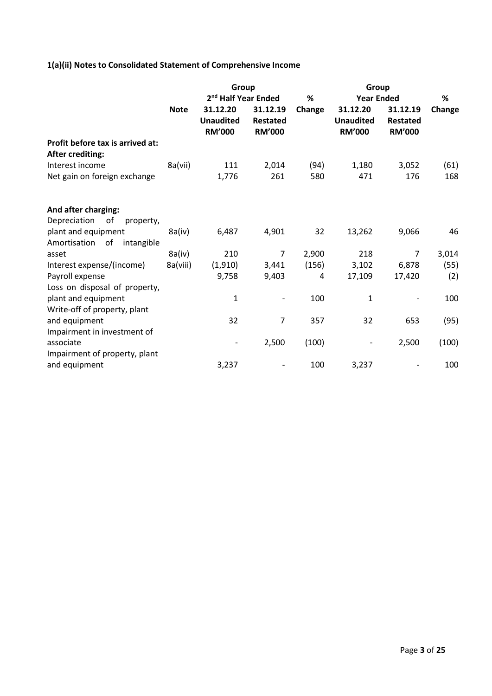## **1(a)(ii) Notes to Consolidated Statement of Comprehensive Income**

|             | Group                             |                                  |        | Group                             |                                  |                |  |
|-------------|-----------------------------------|----------------------------------|--------|-----------------------------------|----------------------------------|----------------|--|
|             | 2 <sup>nd</sup> Half Year Ended   |                                  | %      | <b>Year Ended</b>                 |                                  |                |  |
| <b>Note</b> | 31.12.20                          | 31.12.19                         | Change | 31.12.20                          | 31.12.19                         | Change         |  |
|             | <b>Unaudited</b><br><b>RM'000</b> | <b>Restated</b><br><b>RM'000</b> |        | <b>Unaudited</b><br><b>RM'000</b> | <b>Restated</b><br><b>RM'000</b> |                |  |
|             |                                   |                                  |        |                                   |                                  |                |  |
| 8a(vii)     | 111                               | 2,014                            | (94)   | 1,180                             | 3,052                            | (61)           |  |
|             | 1,776                             | 261                              | 580    | 471                               | 176                              | 168            |  |
|             |                                   |                                  |        |                                   |                                  |                |  |
|             |                                   |                                  |        |                                   |                                  |                |  |
|             |                                   |                                  |        |                                   |                                  | 46             |  |
|             |                                   |                                  |        |                                   |                                  |                |  |
|             |                                   | 7                                |        |                                   | 7                                | 3,014          |  |
| 8a(viii)    | (1, 910)                          | 3,441                            | (156)  | 3,102                             | 6,878                            | (55)           |  |
|             | 9,758                             | 9,403                            | 4      | 17,109                            | 17,420                           | (2)            |  |
|             |                                   |                                  |        |                                   |                                  |                |  |
|             | $\mathbf 1$                       |                                  | 100    | $\mathbf{1}$                      |                                  | 100            |  |
|             |                                   |                                  |        |                                   |                                  |                |  |
|             | 32                                | 7                                | 357    | 32                                | 653                              | (95)           |  |
|             |                                   |                                  |        |                                   |                                  |                |  |
|             |                                   | 2,500                            |        |                                   |                                  | (100)          |  |
|             |                                   |                                  |        |                                   |                                  |                |  |
|             | 3,237                             |                                  | 100    | 3,237                             |                                  | 100            |  |
|             | 8a(iv)<br>8a(iv)                  | 6,487<br>210                     | 4,901  | 32<br>2,900<br>(100)              | 13,262<br>218                    | 9,066<br>2,500 |  |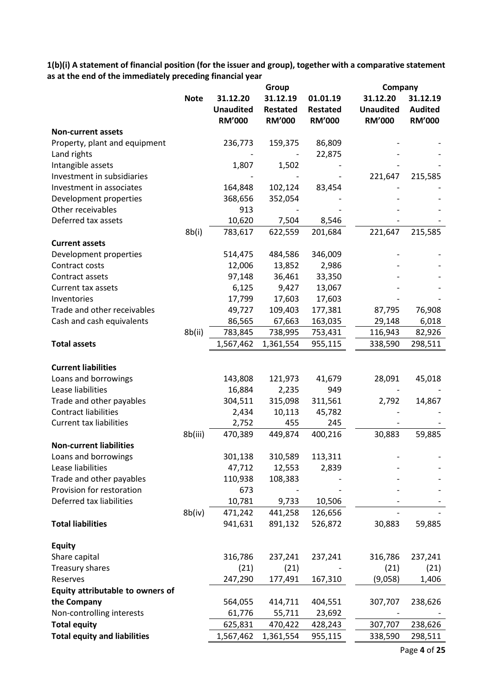**1(b)(i) A statement of financial position (for the issuer and group), together with a comparative statement as at the end of the immediately preceding financial year**

|                                     |             |                                               | Group                                        |                                              | Company                                       |                                             |
|-------------------------------------|-------------|-----------------------------------------------|----------------------------------------------|----------------------------------------------|-----------------------------------------------|---------------------------------------------|
|                                     | <b>Note</b> | 31.12.20<br><b>Unaudited</b><br><b>RM'000</b> | 31.12.19<br><b>Restated</b><br><b>RM'000</b> | 01.01.19<br><b>Restated</b><br><b>RM'000</b> | 31.12.20<br><b>Unaudited</b><br><b>RM'000</b> | 31.12.19<br><b>Audited</b><br><b>RM'000</b> |
| <b>Non-current assets</b>           |             |                                               |                                              |                                              |                                               |                                             |
| Property, plant and equipment       |             | 236,773                                       | 159,375                                      | 86,809                                       |                                               |                                             |
| Land rights                         |             |                                               |                                              | 22,875                                       |                                               |                                             |
| Intangible assets                   |             | 1,807                                         | 1,502                                        |                                              |                                               |                                             |
| Investment in subsidiaries          |             |                                               |                                              |                                              | 221,647                                       | 215,585                                     |
| Investment in associates            |             | 164,848                                       | 102,124                                      | 83,454                                       |                                               |                                             |
| Development properties              |             | 368,656                                       | 352,054                                      |                                              |                                               |                                             |
| Other receivables                   |             | 913                                           |                                              |                                              |                                               |                                             |
| Deferred tax assets                 |             | 10,620                                        | 7,504                                        | 8,546                                        |                                               |                                             |
|                                     | 8b(i)       | 783,617                                       | 622,559                                      | 201,684                                      | 221,647                                       | 215,585                                     |
| <b>Current assets</b>               |             |                                               |                                              |                                              |                                               |                                             |
| Development properties              |             | 514,475                                       | 484,586                                      | 346,009                                      |                                               |                                             |
| Contract costs                      |             | 12,006                                        | 13,852                                       | 2,986                                        |                                               |                                             |
| Contract assets                     |             | 97,148                                        | 36,461                                       | 33,350                                       |                                               |                                             |
| Current tax assets                  |             | 6,125                                         | 9,427                                        | 13,067                                       |                                               |                                             |
| Inventories                         |             | 17,799                                        | 17,603                                       | 17,603                                       |                                               |                                             |
| Trade and other receivables         |             | 49,727                                        | 109,403                                      | 177,381                                      | 87,795                                        | 76,908                                      |
| Cash and cash equivalents           |             | 86,565                                        | 67,663                                       | 163,035                                      | 29,148                                        | 6,018                                       |
|                                     | 8b(ii)      | 783,845                                       | 738,995                                      | 753,431                                      | 116,943                                       | 82,926                                      |
| <b>Total assets</b>                 |             | 1,567,462                                     | 1,361,554                                    | 955,115                                      | 338,590                                       | 298,511                                     |
| <b>Current liabilities</b>          |             |                                               |                                              |                                              |                                               |                                             |
| Loans and borrowings                |             | 143,808                                       | 121,973                                      | 41,679                                       | 28,091                                        | 45,018                                      |
| Lease liabilities                   |             | 16,884                                        | 2,235                                        | 949                                          |                                               |                                             |
| Trade and other payables            |             | 304,511                                       | 315,098                                      | 311,561                                      | 2,792                                         | 14,867                                      |
| <b>Contract liabilities</b>         |             | 2,434                                         | 10,113                                       | 45,782                                       |                                               |                                             |
| <b>Current tax liabilities</b>      |             | 2,752                                         | 455                                          | 245                                          |                                               |                                             |
|                                     | 8b(iii)     | 470,389                                       | 449,874                                      | 400,216                                      | 30,883                                        | 59,885                                      |
| <b>Non-current liabilities</b>      |             |                                               |                                              |                                              |                                               |                                             |
| Loans and borrowings                |             | 301,138                                       | 310,589                                      | 113,311                                      |                                               |                                             |
| Lease liabilities                   |             | 47,712                                        | 12,553                                       | 2,839                                        |                                               |                                             |
| Trade and other payables            |             | 110,938                                       | 108,383                                      |                                              |                                               |                                             |
| Provision for restoration           |             | 673                                           |                                              |                                              |                                               |                                             |
| Deferred tax liabilities            |             | 10,781                                        | 9,733                                        | 10,506                                       |                                               |                                             |
|                                     | 8b(iv)      | 471,242                                       | 441,258                                      | 126,656                                      |                                               |                                             |
| <b>Total liabilities</b>            |             | 941,631                                       | 891,132                                      | 526,872                                      | 30,883                                        | 59,885                                      |
| <b>Equity</b>                       |             |                                               |                                              |                                              |                                               |                                             |
| Share capital                       |             | 316,786                                       | 237,241                                      | 237,241                                      | 316,786                                       | 237,241                                     |
| Treasury shares                     |             | (21)                                          | (21)                                         |                                              | (21)                                          | (21)                                        |
| Reserves                            |             | 247,290                                       | 177,491                                      | 167,310                                      | (9,058)                                       | 1,406                                       |
| Equity attributable to owners of    |             |                                               |                                              |                                              |                                               |                                             |
| the Company                         |             | 564,055                                       | 414,711                                      | 404,551                                      | 307,707                                       | 238,626                                     |
| Non-controlling interests           |             | 61,776                                        | 55,711                                       | 23,692                                       |                                               |                                             |
| <b>Total equity</b>                 |             | 625,831                                       | 470,422                                      | 428,243                                      | 307,707                                       | 238,626                                     |
| <b>Total equity and liabilities</b> |             | 1,567,462                                     | 1,361,554                                    | 955,115                                      | 338,590                                       | 298,511                                     |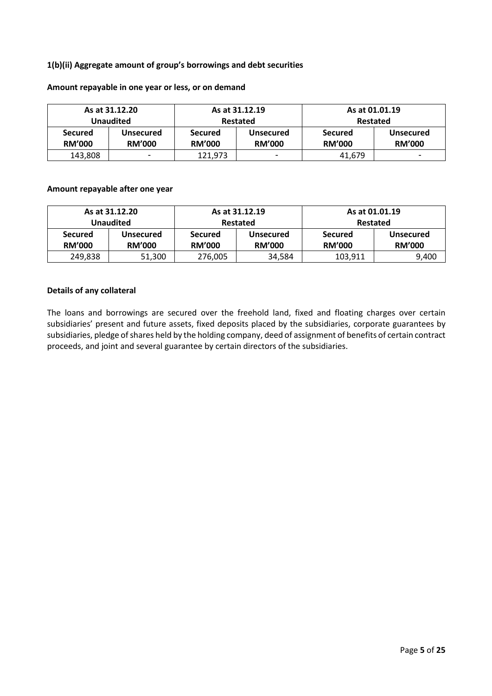## **1(b)(ii) Aggregate amount of group's borrowings and debt securities**

|                | As at 31.12.20   |                | As at 31.12.19   | As at 01.01.19 |                  |  |
|----------------|------------------|----------------|------------------|----------------|------------------|--|
|                | Unaudited        | Restated       |                  |                | Restated         |  |
| <b>Secured</b> | <b>Unsecured</b> | <b>Secured</b> | <b>Unsecured</b> | <b>Secured</b> | <b>Unsecured</b> |  |
| <b>RM'000</b>  | <b>RM'000</b>    | <b>RM'000</b>  | <b>RM'000</b>    | <b>RM'000</b>  | <b>RM'000</b>    |  |
| 143,808        | -                | 121,973        | -                | 41,679         | -                |  |

#### **Amount repayable in one year or less, or on demand**

## **Amount repayable after one year**

|                                 | As at 31.12.20<br>As at 31.12.19 |                                 |                                   | As at 01.01.19                  |                                   |  |
|---------------------------------|----------------------------------|---------------------------------|-----------------------------------|---------------------------------|-----------------------------------|--|
|                                 | <b>Unaudited</b>                 | Restated                        |                                   | Restated                        |                                   |  |
| <b>Secured</b><br><b>RM'000</b> | Unsecured<br><b>RM'000</b>       | <b>Secured</b><br><b>RM'000</b> | <b>Unsecured</b><br><b>RM'000</b> | <b>Secured</b><br><b>RM'000</b> | <b>Unsecured</b><br><b>RM'000</b> |  |
| 249,838                         | 51,300                           | 276,005                         | 34,584                            | 103,911                         | 9,400                             |  |

#### **Details of any collateral**

The loans and borrowings are secured over the freehold land, fixed and floating charges over certain subsidiaries' present and future assets, fixed deposits placed by the subsidiaries, corporate guarantees by subsidiaries, pledge of shares held by the holding company, deed of assignment of benefits of certain contract proceeds, and joint and several guarantee by certain directors of the subsidiaries.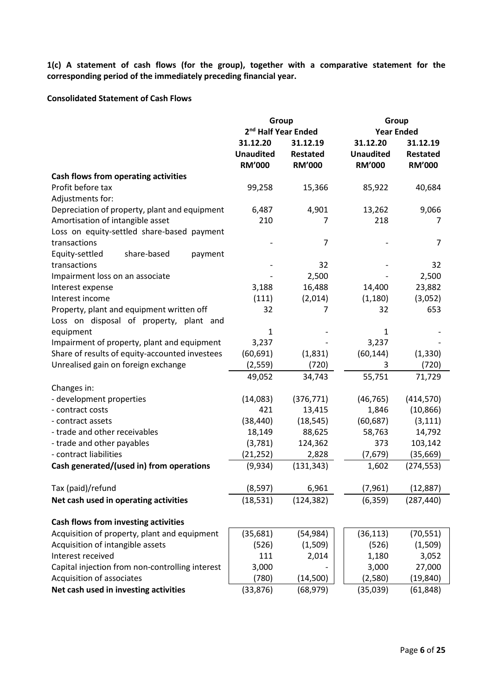**1(c) A statement of cash flows (for the group), together with a comparative statement for the corresponding period of the immediately preceding financial year.**

### **Consolidated Statement of Cash Flows**

|                                                 | Group                                         |                                       | Group                                         |                                       |  |  |
|-------------------------------------------------|-----------------------------------------------|---------------------------------------|-----------------------------------------------|---------------------------------------|--|--|
|                                                 | 2 <sup>nd</sup> Half Year Ended               |                                       | <b>Year Ended</b>                             |                                       |  |  |
|                                                 | 31.12.20<br><b>Unaudited</b><br><b>RM'000</b> | 31.12.19<br>Restated<br><b>RM'000</b> | 31.12.20<br><b>Unaudited</b><br><b>RM'000</b> | 31.12.19<br>Restated<br><b>RM'000</b> |  |  |
| Cash flows from operating activities            |                                               |                                       |                                               |                                       |  |  |
| Profit before tax                               | 99,258                                        | 15,366                                | 85,922                                        | 40,684                                |  |  |
| Adjustments for:                                |                                               |                                       |                                               |                                       |  |  |
| Depreciation of property, plant and equipment   | 6,487                                         | 4,901                                 | 13,262                                        | 9,066                                 |  |  |
| Amortisation of intangible asset                | 210                                           | 7                                     | 218                                           | 7                                     |  |  |
| Loss on equity-settled share-based payment      |                                               |                                       |                                               |                                       |  |  |
| transactions                                    |                                               | 7                                     |                                               | 7                                     |  |  |
| Equity-settled<br>share-based<br>payment        |                                               |                                       |                                               |                                       |  |  |
| transactions                                    |                                               | 32                                    |                                               | 32                                    |  |  |
| Impairment loss on an associate                 |                                               | 2,500                                 |                                               | 2,500                                 |  |  |
| Interest expense                                | 3,188                                         | 16,488                                | 14,400                                        | 23,882                                |  |  |
| Interest income                                 | (111)                                         | (2,014)                               | (1, 180)                                      | (3,052)                               |  |  |
| Property, plant and equipment written off       | 32                                            | 7                                     | 32                                            | 653                                   |  |  |
| Loss on disposal of property, plant and         |                                               |                                       |                                               |                                       |  |  |
| equipment                                       | 1                                             |                                       | 1                                             |                                       |  |  |
| Impairment of property, plant and equipment     | 3,237                                         |                                       | 3,237                                         |                                       |  |  |
| Share of results of equity-accounted investees  | (60, 691)                                     | (1,831)                               | (60, 144)                                     | (1, 330)                              |  |  |
| Unrealised gain on foreign exchange             | (2, 559)                                      | (720)                                 | 3                                             | (720)                                 |  |  |
|                                                 | 49,052                                        | 34,743                                | 55,751                                        | 71,729                                |  |  |
| Changes in:                                     |                                               |                                       |                                               |                                       |  |  |
| - development properties                        | (14,083)                                      | (376, 771)                            | (46, 765)                                     | (414, 570)                            |  |  |
| - contract costs                                | 421                                           | 13,415                                | 1,846                                         | (10, 866)                             |  |  |
| - contract assets                               | (38, 440)                                     | (18, 545)                             | (60, 687)                                     | (3, 111)                              |  |  |
| - trade and other receivables                   | 18,149                                        | 88,625                                | 58,763                                        | 14,792                                |  |  |
| - trade and other payables                      | (3,781)                                       | 124,362                               | 373                                           | 103,142                               |  |  |
| - contract liabilities                          | (21, 252)                                     | 2,828                                 | (7,679)                                       | (35, 669)                             |  |  |
| Cash generated/(used in) from operations        | (9,934)                                       | (131, 343)                            | 1,602                                         | (274, 553)                            |  |  |
| Tax (paid)/refund                               | (8,597)                                       | 6,961                                 | (7, 961)                                      | (12, 887)                             |  |  |
| Net cash used in operating activities           | (18, 531)                                     | (124, 382)                            | (6, 359)                                      | (287, 440)                            |  |  |
| Cash flows from investing activities            |                                               |                                       |                                               |                                       |  |  |
| Acquisition of property, plant and equipment    | (35,681)                                      | (54, 984)                             | (36, 113)                                     | (70, 551)                             |  |  |
| Acquisition of intangible assets                | (526)                                         | (1,509)                               | (526)                                         | (1,509)                               |  |  |
| Interest received                               | 111                                           | 2,014                                 | 1,180                                         | 3,052                                 |  |  |
| Capital injection from non-controlling interest | 3,000                                         |                                       | 3,000                                         | 27,000                                |  |  |
| Acquisition of associates                       | (780)                                         | (14,500)                              | (2,580)                                       | (19, 840)                             |  |  |
| Net cash used in investing activities           | (33, 876)                                     | (68, 979)                             | (35,039)                                      | (61, 848)                             |  |  |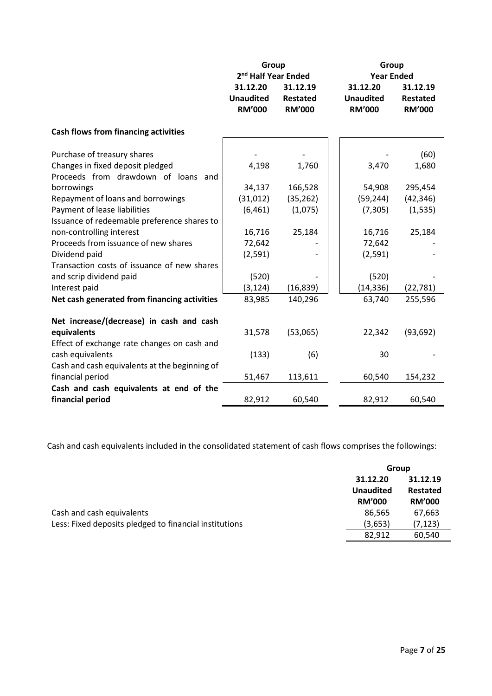|                                               | Group<br>2 <sup>nd</sup> Half Year Ended      |                                              | Group<br><b>Year Ended</b>                    |                                              |
|-----------------------------------------------|-----------------------------------------------|----------------------------------------------|-----------------------------------------------|----------------------------------------------|
|                                               | 31.12.20<br><b>Unaudited</b><br><b>RM'000</b> | 31.12.19<br><b>Restated</b><br><b>RM'000</b> | 31.12.20<br><b>Unaudited</b><br><b>RM'000</b> | 31.12.19<br><b>Restated</b><br><b>RM'000</b> |
| <b>Cash flows from financing activities</b>   |                                               |                                              |                                               |                                              |
| Purchase of treasury shares                   |                                               |                                              |                                               | (60)                                         |
| Changes in fixed deposit pledged              | 4,198                                         | 1,760                                        | 3,470                                         | 1,680                                        |
| Proceeds from drawdown of loans and           |                                               |                                              |                                               |                                              |
| borrowings                                    | 34,137                                        | 166,528                                      | 54,908                                        | 295,454                                      |
| Repayment of loans and borrowings             | (31,012)                                      | (35, 262)                                    | (59, 244)                                     | (42, 346)                                    |
| Payment of lease liabilities                  | (6, 461)                                      | (1,075)                                      | (7, 305)                                      | (1, 535)                                     |
| Issuance of redeemable preference shares to   |                                               |                                              |                                               |                                              |
| non-controlling interest                      | 16,716                                        | 25,184                                       | 16,716                                        | 25,184                                       |
| Proceeds from issuance of new shares          | 72,642                                        |                                              | 72,642                                        |                                              |
| Dividend paid                                 | (2,591)                                       |                                              | (2,591)                                       |                                              |
| Transaction costs of issuance of new shares   |                                               |                                              |                                               |                                              |
| and scrip dividend paid                       | (520)                                         |                                              | (520)                                         |                                              |
| Interest paid                                 | (3, 124)                                      | (16, 839)                                    | (14, 336)                                     | (22, 781)                                    |
| Net cash generated from financing activities  | 83,985                                        | 140,296                                      | 63,740                                        | 255,596                                      |
| Net increase/(decrease) in cash and cash      |                                               |                                              |                                               |                                              |
| equivalents                                   | 31,578                                        | (53,065)                                     | 22,342                                        | (93, 692)                                    |
| Effect of exchange rate changes on cash and   |                                               |                                              |                                               |                                              |
| cash equivalents                              | (133)                                         | (6)                                          | 30                                            |                                              |
| Cash and cash equivalents at the beginning of |                                               |                                              |                                               |                                              |
| financial period                              | 51,467                                        | 113,611                                      | 60,540                                        | 154,232                                      |
| Cash and cash equivalents at end of the       |                                               |                                              |                                               |                                              |
| financial period                              | 82,912                                        | 60,540                                       | 82,912                                        | 60,540                                       |

Cash and cash equivalents included in the consolidated statement of cash flows comprises the followings:

|                                                        | Group            |               |
|--------------------------------------------------------|------------------|---------------|
|                                                        | 31.12.20         | 31.12.19      |
|                                                        | <b>Unaudited</b> | Restated      |
|                                                        | <b>RM'000</b>    | <b>RM'000</b> |
| Cash and cash equivalents                              | 86,565           | 67,663        |
| Less: Fixed deposits pledged to financial institutions | (3,653)          | (7, 123)      |
|                                                        | 82.912           | 60,540        |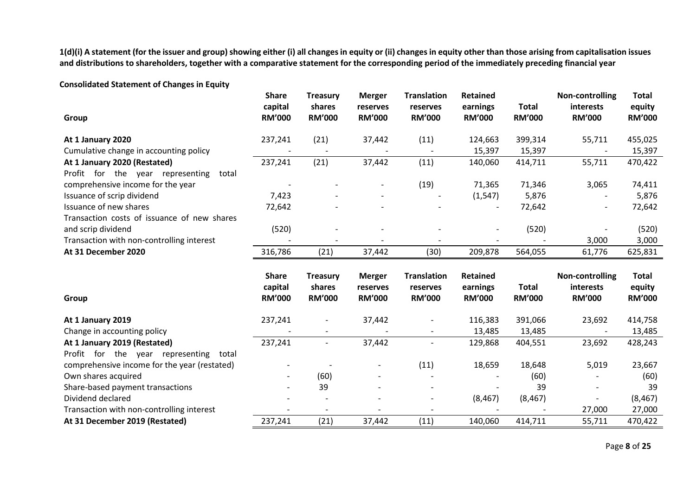**1(d)(i) A statement (for the issuer and group) showing either (i) all changes in equity or (ii) changes in equity other than those arising from capitalisation issues and distributions to shareholders, together with a comparative statement for the corresponding period of the immediately preceding financial year**

**Consolidated Statement of Changes in Equity**

|                                              | <b>Share</b>  | <b>Treasury</b>          | <b>Merger</b>            | <b>Translation</b> | <b>Retained</b> |               | Non-controlling | <b>Total</b>  |
|----------------------------------------------|---------------|--------------------------|--------------------------|--------------------|-----------------|---------------|-----------------|---------------|
|                                              | capital       | shares                   | reserves                 | reserves           | earnings        | <b>Total</b>  | interests       | equity        |
| Group                                        | <b>RM'000</b> | <b>RM'000</b>            | <b>RM'000</b>            | <b>RM'000</b>      | <b>RM'000</b>   | <b>RM'000</b> | <b>RM'000</b>   | <b>RM'000</b> |
| At 1 January 2020                            | 237,241       | (21)                     | 37,442                   | (11)               | 124,663         | 399,314       | 55,711          | 455,025       |
| Cumulative change in accounting policy       |               |                          |                          |                    | 15,397          | 15,397        |                 | 15,397        |
| At 1 January 2020 (Restated)                 | 237,241       | (21)                     | 37,442                   | (11)               | 140,060         | 414,711       | 55,711          | 470,422       |
| Profit for the year representing<br>total    |               |                          |                          |                    |                 |               |                 |               |
| comprehensive income for the year            |               |                          |                          | (19)               | 71,365          | 71,346        | 3,065           | 74,411        |
| Issuance of scrip dividend                   | 7,423         |                          |                          |                    | (1, 547)        | 5,876         |                 | 5,876         |
| Issuance of new shares                       | 72,642        |                          |                          |                    |                 | 72,642        |                 | 72,642        |
| Transaction costs of issuance of new shares  |               |                          |                          |                    |                 |               |                 |               |
| and scrip dividend                           | (520)         |                          |                          |                    |                 | (520)         |                 | (520)         |
| Transaction with non-controlling interest    |               |                          |                          |                    |                 |               | 3,000           | 3,000         |
| At 31 December 2020                          | 316,786       | (21)                     | 37,442                   | (30)               | 209,878         | 564,055       | 61,776          | 625,831       |
|                                              |               |                          |                          |                    |                 |               |                 |               |
|                                              |               |                          |                          |                    |                 |               |                 |               |
|                                              | <b>Share</b>  | <b>Treasury</b>          | <b>Merger</b>            | <b>Translation</b> | <b>Retained</b> |               | Non-controlling | <b>Total</b>  |
|                                              | capital       | shares                   | reserves                 | reserves           | earnings        | <b>Total</b>  | interests       | equity        |
| Group                                        | <b>RM'000</b> | <b>RM'000</b>            | <b>RM'000</b>            | <b>RM'000</b>      | <b>RM'000</b>   | <b>RM'000</b> | <b>RM'000</b>   | <b>RM'000</b> |
| At 1 January 2019                            | 237,241       |                          | 37,442                   |                    | 116,383         | 391,066       | 23,692          | 414,758       |
| Change in accounting policy                  |               |                          |                          |                    | 13,485          | 13,485        |                 | 13,485        |
| At 1 January 2019 (Restated)                 | 237,241       | $\overline{\phantom{a}}$ | 37,442                   |                    | 129,868         | 404,551       | 23,692          | 428,243       |
| Profit for the year representing<br>total    |               |                          |                          |                    |                 |               |                 |               |
| comprehensive income for the year (restated) |               |                          | $\overline{\phantom{a}}$ | (11)               | 18,659          | 18,648        | 5,019           | 23,667        |
| Own shares acquired                          |               | (60)                     |                          |                    |                 | (60)          |                 | (60)          |
| Share-based payment transactions             |               | 39                       |                          |                    |                 | 39            |                 | 39            |
| Dividend declared                            |               |                          |                          |                    | (8, 467)        | (8, 467)      |                 | (8, 467)      |
| Transaction with non-controlling interest    |               |                          |                          |                    |                 |               | 27,000          | 27,000        |

Page **8** of **25**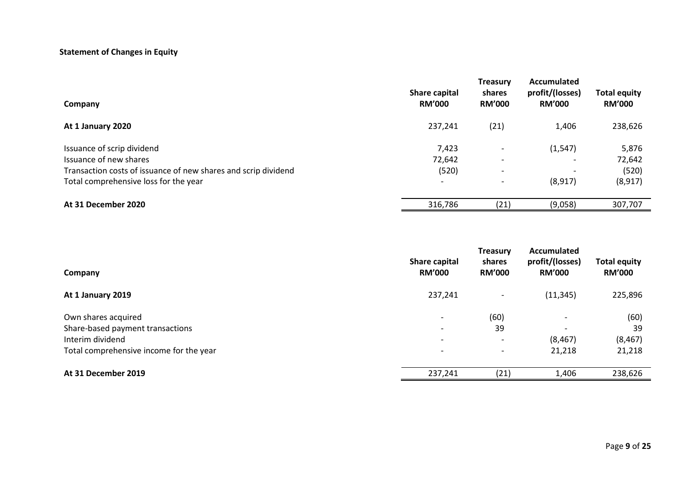## **Statement of Changes in Equity**

| Company                                                        | Share capital<br><b>RM'000</b> | <b>Treasury</b><br>shares<br><b>RM'000</b> | Accumulated<br>profit/(losses)<br><b>RM'000</b> | <b>Total equity</b><br><b>RM'000</b> |
|----------------------------------------------------------------|--------------------------------|--------------------------------------------|-------------------------------------------------|--------------------------------------|
| At 1 January 2020                                              | 237,241                        | (21)                                       | 1,406                                           | 238,626                              |
| Issuance of scrip dividend                                     | 7,423                          | $\overline{\phantom{0}}$                   | (1, 547)                                        | 5,876                                |
| Issuance of new shares                                         | 72,642                         |                                            |                                                 | 72,642                               |
| Transaction costs of issuance of new shares and scrip dividend | (520)                          | $\overline{\phantom{0}}$                   | $\overline{\phantom{0}}$                        | (520)                                |
| Total comprehensive loss for the year                          | $\overline{\phantom{a}}$       |                                            | (8, 917)                                        | (8, 917)                             |
| At 31 December 2020                                            | 316,786                        | (21)                                       | (9,058)                                         | 307,707                              |

| Company                                 | Share capital<br><b>RM'000</b> | <b>Treasury</b><br>shares<br><b>RM'000</b> | Accumulated<br>profit/(losses)<br><b>RM'000</b> | <b>Total equity</b><br><b>RM'000</b> |
|-----------------------------------------|--------------------------------|--------------------------------------------|-------------------------------------------------|--------------------------------------|
| At 1 January 2019                       | 237,241                        | $\overline{\phantom{a}}$                   | (11, 345)                                       | 225,896                              |
| Own shares acquired                     | $\overline{\phantom{0}}$       | (60)                                       |                                                 | (60)                                 |
| Share-based payment transactions        | $\overline{\phantom{0}}$       | 39                                         |                                                 | 39                                   |
| Interim dividend                        | $\overline{\phantom{a}}$       | $\overline{\phantom{a}}$                   | (8, 467)                                        | (8, 467)                             |
| Total comprehensive income for the year | $\overline{\phantom{a}}$       | $\overline{\phantom{a}}$                   | 21,218                                          | 21,218                               |
| At 31 December 2019                     | 237,241                        | (21)                                       | 1,406                                           | 238,626                              |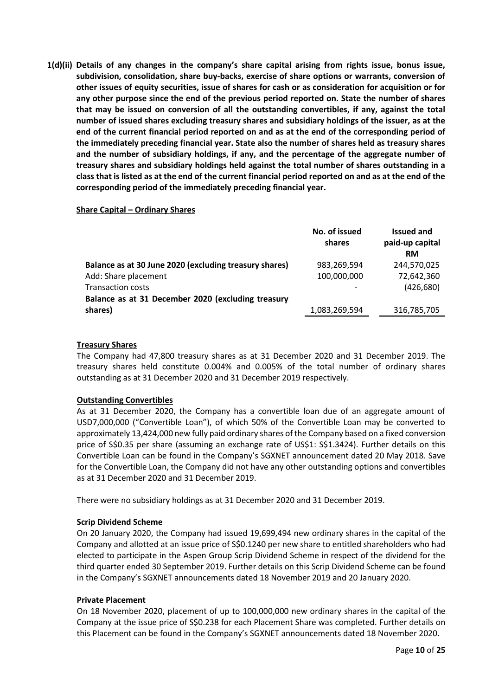**1(d)(ii) Details of any changes in the company's share capital arising from rights issue, bonus issue, subdivision, consolidation, share buy-backs, exercise of share options or warrants, conversion of other issues of equity securities, issue of shares for cash or as consideration for acquisition or for any other purpose since the end of the previous period reported on. State the number of shares that may be issued on conversion of all the outstanding convertibles, if any, against the total number of issued shares excluding treasury shares and subsidiary holdings of the issuer, as at the end of the current financial period reported on and as at the end of the corresponding period of the immediately preceding financial year. State also the number of shares held as treasury shares and the number of subsidiary holdings, if any, and the percentage of the aggregate number of treasury shares and subsidiary holdings held against the total number of shares outstanding in a class that is listed as at the end of the current financial period reported on and as at the end of the corresponding period of the immediately preceding financial year.**

## **Share Capital – Ordinary Shares**

| No. of issued<br>shares | <b>Issued and</b><br>paid-up capital<br><b>RM</b> |
|-------------------------|---------------------------------------------------|
| 983,269,594             | 244,570,025                                       |
| 100,000,000             | 72,642,360                                        |
|                         | (426, 680)                                        |
|                         |                                                   |
| 1,083,269,594           | 316,785,705                                       |
|                         |                                                   |

## **Treasury Shares**

The Company had 47,800 treasury shares as at 31 December 2020 and 31 December 2019. The treasury shares held constitute 0.004% and 0.005% of the total number of ordinary shares outstanding as at 31 December 2020 and 31 December 2019 respectively.

## **Outstanding Convertibles**

As at 31 December 2020, the Company has a convertible loan due of an aggregate amount of USD7,000,000 ("Convertible Loan"), of which 50% of the Convertible Loan may be converted to approximately 13,424,000 new fully paid ordinary shares of the Company based on a fixed conversion price of S\$0.35 per share (assuming an exchange rate of US\$1: S\$1.3424). Further details on this Convertible Loan can be found in the Company's SGXNET announcement dated 20 May 2018. Save for the Convertible Loan, the Company did not have any other outstanding options and convertibles as at 31 December 2020 and 31 December 2019.

There were no subsidiary holdings as at 31 December 2020 and 31 December 2019.

## **Scrip Dividend Scheme**

On 20 January 2020, the Company had issued 19,699,494 new ordinary shares in the capital of the Company and allotted at an issue price of S\$0.1240 per new share to entitled shareholders who had elected to participate in the Aspen Group Scrip Dividend Scheme in respect of the dividend for the third quarter ended 30 September 2019. Further details on this Scrip Dividend Scheme can be found in the Company's SGXNET announcements dated 18 November 2019 and 20 January 2020.

#### **Private Placement**

On 18 November 2020, placement of up to 100,000,000 new ordinary shares in the capital of the Company at the issue price of S\$0.238 for each Placement Share was completed. Further details on this Placement can be found in the Company's SGXNET announcements dated 18 November 2020.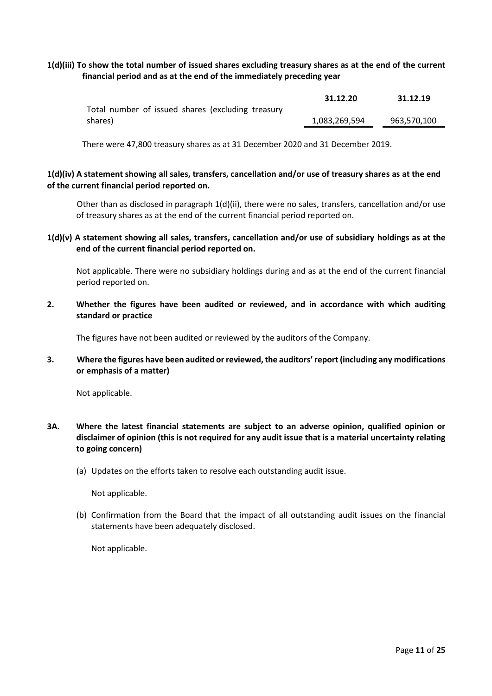## **1(d)(iii) To show the total number of issued shares excluding treasury shares as at the end of the current financial period and as at the end of the immediately preceding year**

|                                                   | 31.12.20      | 31.12.19    |
|---------------------------------------------------|---------------|-------------|
| Total number of issued shares (excluding treasury |               |             |
| shares)                                           | 1,083,269,594 | 963,570,100 |

There were 47,800 treasury shares as at 31 December 2020 and 31 December 2019.

## **1(d)(iv) A statement showing all sales, transfers, cancellation and/or use of treasury shares as at the end of the current financial period reported on.**

Other than as disclosed in paragraph 1(d)(ii), there were no sales, transfers, cancellation and/or use of treasury shares as at the end of the current financial period reported on.

**1(d)(v) A statement showing all sales, transfers, cancellation and/or use of subsidiary holdings as at the end of the current financial period reported on.**

Not applicable. There were no subsidiary holdings during and as at the end of the current financial period reported on.

**2. Whether the figures have been audited or reviewed, and in accordance with which auditing standard or practice**

The figures have not been audited or reviewed by the auditors of the Company.

**3. Where the figures have been audited or reviewed, the auditors' report (including any modifications or emphasis of a matter)**

Not applicable.

- **3A. Where the latest financial statements are subject to an adverse opinion, qualified opinion or disclaimer of opinion (this is not required for any audit issue that is a material uncertainty relating to going concern)**
	- (a) Updates on the efforts taken to resolve each outstanding audit issue.

Not applicable.

(b) Confirmation from the Board that the impact of all outstanding audit issues on the financial statements have been adequately disclosed.

Not applicable.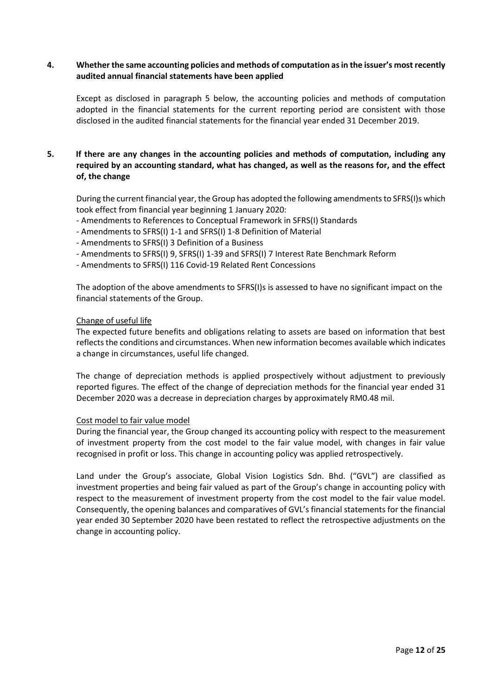## **4. Whether the same accounting policies and methods of computation as in the issuer's most recently audited annual financial statements have been applied**

Except as disclosed in paragraph 5 below, the accounting policies and methods of computation adopted in the financial statements for the current reporting period are consistent with those disclosed in the audited financial statements for the financial year ended 31 December 2019.

## **5. If there are any changes in the accounting policies and methods of computation, including any required by an accounting standard, what has changed, as well as the reasons for, and the effect of, the change**

During the current financial year, the Group has adopted the following amendments to SFRS(I)s which took effect from financial year beginning 1 January 2020:

- Amendments to References to Conceptual Framework in SFRS(I) Standards
- Amendments to SFRS(I) 1-1 and SFRS(I) 1-8 Definition of Material
- Amendments to SFRS(I) 3 Definition of a Business
- Amendments to SFRS(I) 9, SFRS(I) 1-39 and SFRS(I) 7 Interest Rate Benchmark Reform
- Amendments to SFRS(I) 116 Covid-19 Related Rent Concessions

The adoption of the above amendments to SFRS(I)s is assessed to have no significant impact on the financial statements of the Group.

#### Change of useful life

The expected future benefits and obligations relating to assets are based on information that best reflects the conditions and circumstances. When new information becomes available which indicates a change in circumstances, useful life changed.

The change of depreciation methods is applied prospectively without adjustment to previously reported figures. The effect of the change of depreciation methods for the financial year ended 31 December 2020 was a decrease in depreciation charges by approximately RM0.48 mil.

## Cost model to fair value model

During the financial year, the Group changed its accounting policy with respect to the measurement of investment property from the cost model to the fair value model, with changes in fair value recognised in profit or loss. This change in accounting policy was applied retrospectively.

Land under the Group's associate, Global Vision Logistics Sdn. Bhd. ("GVL") are classified as investment properties and being fair valued as part of the Group's change in accounting policy with respect to the measurement of investment property from the cost model to the fair value model. Consequently, the opening balances and comparatives of GVL's financial statements for the financial year ended 30 September 2020 have been restated to reflect the retrospective adjustments on the change in accounting policy.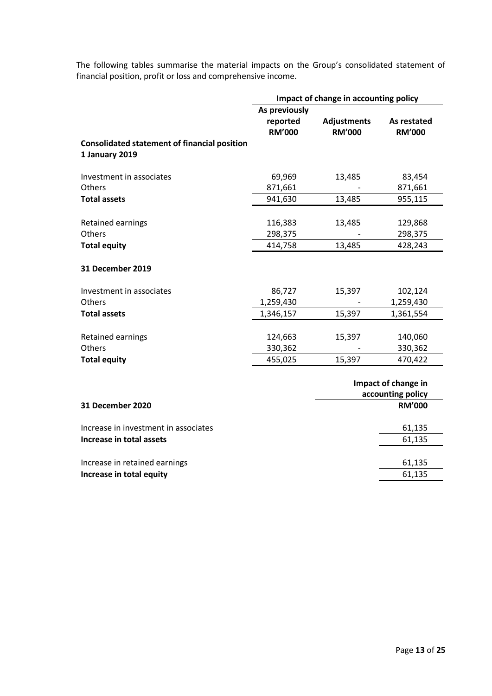The following tables summarise the material impacts on the Group's consolidated statement of financial position, profit or loss and comprehensive income.

|                                                                       | Impact of change in accounting policy |                                     |                                          |
|-----------------------------------------------------------------------|---------------------------------------|-------------------------------------|------------------------------------------|
|                                                                       | As previously                         |                                     |                                          |
|                                                                       | reported<br><b>RM'000</b>             | <b>Adjustments</b><br><b>RM'000</b> | As restated<br><b>RM'000</b>             |
| <b>Consolidated statement of financial position</b><br>1 January 2019 |                                       |                                     |                                          |
| Investment in associates                                              | 69,969                                | 13,485                              | 83,454                                   |
| <b>Others</b>                                                         | 871,661                               |                                     | 871,661                                  |
| <b>Total assets</b>                                                   | 941,630                               | 13,485                              | 955,115                                  |
|                                                                       |                                       |                                     |                                          |
| Retained earnings                                                     | 116,383                               | 13,485                              | 129,868                                  |
| Others                                                                | 298,375                               |                                     | 298,375                                  |
| <b>Total equity</b>                                                   | 414,758                               | 13,485                              | 428,243                                  |
| 31 December 2019                                                      |                                       |                                     |                                          |
| Investment in associates                                              | 86,727                                | 15,397                              | 102,124                                  |
| <b>Others</b>                                                         | 1,259,430                             |                                     | 1,259,430                                |
| <b>Total assets</b>                                                   | 1,346,157                             | 15,397                              | 1,361,554                                |
|                                                                       |                                       |                                     |                                          |
| Retained earnings                                                     | 124,663                               | 15,397                              | 140,060                                  |
| Others                                                                | 330,362                               |                                     | 330,362                                  |
| <b>Total equity</b>                                                   | 455,025                               | 15,397                              | 470,422                                  |
|                                                                       |                                       |                                     | Impact of change in<br>accounting policy |
| <b>31 December 2020</b>                                               |                                       |                                     | <b>RM'000</b>                            |

| Increase in investment in associates | 61,135 |
|--------------------------------------|--------|
| Increase in total assets             | 61,135 |
|                                      |        |
| Increase in retained earnings        | 61.135 |
| Increase in total equity             | 61,135 |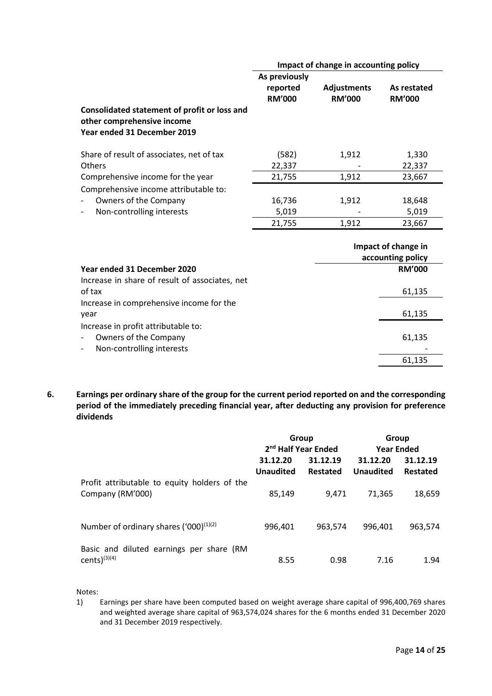|                                                                                           | Impact of change in accounting policy      |                                     |                                          |
|-------------------------------------------------------------------------------------------|--------------------------------------------|-------------------------------------|------------------------------------------|
| Consolidated statement of profit or loss and                                              | As previously<br>reported<br><b>RM'000</b> | <b>Adjustments</b><br><b>RM'000</b> | As restated<br><b>RM'000</b>             |
| other comprehensive income<br>Year ended 31 December 2019                                 |                                            |                                     |                                          |
| Share of result of associates, net of tax                                                 | (582)                                      | 1,912                               | 1,330                                    |
| Others                                                                                    | 22,337                                     |                                     | 22,337                                   |
| Comprehensive income for the year                                                         | 21,755                                     | 1,912                               | 23,667                                   |
| Comprehensive income attributable to:                                                     |                                            |                                     |                                          |
| Owners of the Company                                                                     | 16,736                                     | 1,912                               | 18,648                                   |
| Non-controlling interests                                                                 | 5,019                                      |                                     | 5,019                                    |
|                                                                                           | 21,755                                     | 1,912                               | 23,667                                   |
|                                                                                           |                                            |                                     | Impact of change in<br>accounting policy |
| Year ended 31 December 2020                                                               |                                            |                                     | <b>RM'000</b>                            |
| Increase in share of result of associates, net<br>of tax                                  |                                            |                                     | 61,135                                   |
| Increase in comprehensive income for the<br>year                                          |                                            |                                     | 61,135                                   |
| Increase in profit attributable to:<br>Owners of the Company<br>Non-controlling interests |                                            |                                     | 61,135                                   |
|                                                                                           |                                            |                                     | 61,135                                   |

**6. Earnings per ordinary share of the group for the current period reported on and the corresponding period of the immediately preceding financial year, after deducting any provision for preference dividends**

|                                              | Group            |                                 | Group             |          |
|----------------------------------------------|------------------|---------------------------------|-------------------|----------|
|                                              |                  | 2 <sup>nd</sup> Half Year Ended | <b>Year Ended</b> |          |
|                                              | 31.12.20         | 31.12.19                        | 31.12.20          | 31.12.19 |
|                                              | <b>Unaudited</b> | Restated                        | <b>Unaudited</b>  | Restated |
| Profit attributable to equity holders of the |                  |                                 |                   |          |
| Company (RM'000)                             | 85,149           | 9.471                           | 71.365            | 18,659   |
|                                              |                  |                                 |                   |          |
| Number of ordinary shares $(1000)^{(1)(2)}$  | 996.401          | 963,574                         | 996.401           | 963,574  |
|                                              |                  |                                 |                   |          |
| Basic and diluted earnings per share (RM     |                  |                                 |                   |          |
| cents $)^{(3)(4)}$                           | 8.55             | 0.98                            | 7.16              | 1.94     |

Notes:

1) Earnings per share have been computed based on weight average share capital of 996,400,769 shares and weighted average share capital of 963,574,024 shares for the 6 months ended 31 December 2020 and 31 December 2019 respectively.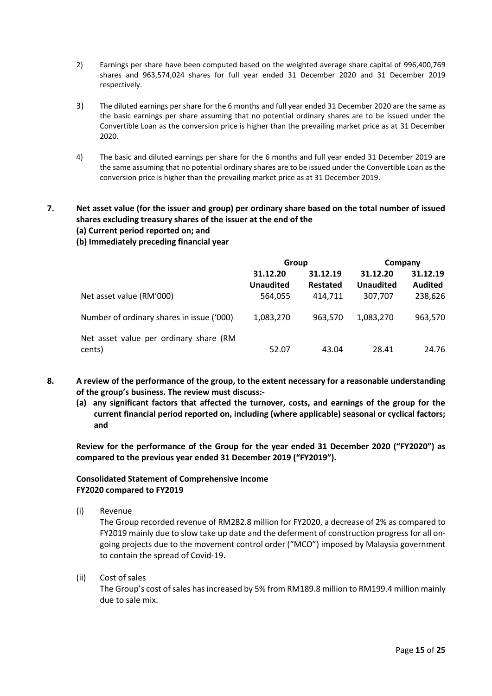- 2) Earnings per share have been computed based on the weighted average share capital of 996,400,769 shares and 963,574,024 shares for full year ended 31 December 2020 and 31 December 2019 respectively.
- 3) The diluted earnings per share for the 6 months and full year ended 31 December 2020 are the same as the basic earnings per share assuming that no potential ordinary shares are to be issued under the Convertible Loan as the conversion price is higher than the prevailing market price as at 31 December 2020.
- 4) The basic and diluted earnings per share for the 6 months and full year ended 31 December 2019 are the same assuming that no potential ordinary shares are to be issued under the Convertible Loan as the conversion price is higher than the prevailing market price as at 31 December 2019.

## **7. Net asset value (for the issuer and group) per ordinary share based on the total number of issued shares excluding treasury shares of the issuer at the end of the**

## **(a) Current period reported on; and**

## **(b) Immediately preceding financial year**

|                                                  | Group                        |                      | Company                      |                            |
|--------------------------------------------------|------------------------------|----------------------|------------------------------|----------------------------|
|                                                  | 31.12.20<br><b>Unaudited</b> | 31.12.19<br>Restated | 31.12.20<br><b>Unaudited</b> | 31.12.19<br><b>Audited</b> |
| Net asset value (RM'000)                         | 564,055                      | 414.711              | 307.707                      | 238,626                    |
| Number of ordinary shares in issue ('000)        | 1,083,270                    | 963.570              | 1.083.270                    | 963,570                    |
| Net asset value per ordinary share (RM<br>cents) | 52.07                        | 43.04                | 28.41                        | 24.76                      |

- **8. A review of the performance of the group, to the extent necessary for a reasonable understanding of the group's business. The review must discuss:-**
	- **(a) any significant factors that affected the turnover, costs, and earnings of the group for the current financial period reported on, including (where applicable) seasonal or cyclical factors; and**

**Review for the performance of the Group for the year ended 31 December 2020 ("FY2020") as compared to the previous year ended 31 December 2019 ("FY2019").**

## **Consolidated Statement of Comprehensive Income FY2020 compared to FY2019**

(i) Revenue

The Group recorded revenue of RM282.8 million for FY2020, a decrease of 2% as compared to FY2019 mainly due to slow take up date and the deferment of construction progress for all ongoing projects due to the movement control order ("MCO") imposed by Malaysia government to contain the spread of Covid-19.

(ii) Cost of sales

The Group's cost of sales has increased by 5% from RM189.8 million to RM199.4 million mainly due to sale mix.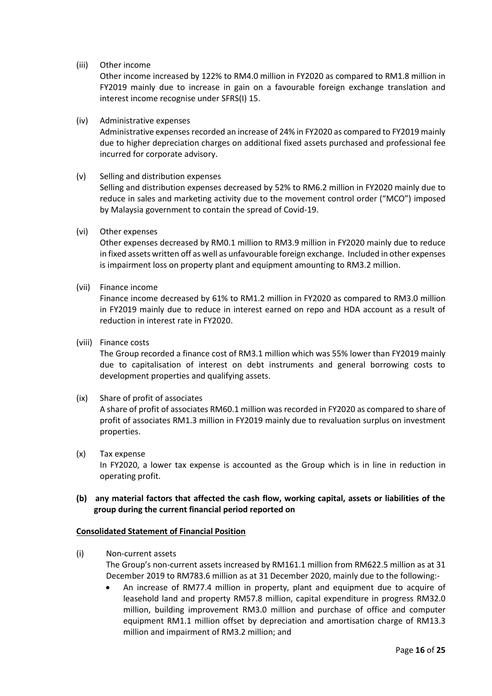### (iii) Other income

Other income increased by 122% to RM4.0 million in FY2020 as compared to RM1.8 million in FY2019 mainly due to increase in gain on a favourable foreign exchange translation and interest income recognise under SFRS(I) 15.

#### (iv) Administrative expenses

Administrative expenses recorded an increase of 24% in FY2020 as compared to FY2019 mainly due to higher depreciation charges on additional fixed assets purchased and professional fee incurred for corporate advisory.

#### (v) Selling and distribution expenses

Selling and distribution expenses decreased by 52% to RM6.2 million in FY2020 mainly due to reduce in sales and marketing activity due to the movement control order ("MCO") imposed by Malaysia government to contain the spread of Covid-19.

#### (vi) Other expenses

Other expenses decreased by RM0.1 million to RM3.9 million in FY2020 mainly due to reduce in fixed assets written off as well as unfavourable foreign exchange. Included in other expenses is impairment loss on property plant and equipment amounting to RM3.2 million.

## (vii) Finance income

Finance income decreased by 61% to RM1.2 million in FY2020 as compared to RM3.0 million in FY2019 mainly due to reduce in interest earned on repo and HDA account as a result of reduction in interest rate in FY2020.

#### (viii) Finance costs

The Group recorded a finance cost of RM3.1 million which was 55% lower than FY2019 mainly due to capitalisation of interest on debt instruments and general borrowing costs to development properties and qualifying assets.

## (ix) Share of profit of associates

A share of profit of associates RM60.1 million was recorded in FY2020 as compared to share of profit of associates RM1.3 million in FY2019 mainly due to revaluation surplus on investment properties.

(x) Tax expense In FY2020, a lower tax expense is accounted as the Group which is in line in reduction in operating profit.

## **(b) any material factors that affected the cash flow, working capital, assets or liabilities of the group during the current financial period reported on**

## **Consolidated Statement of Financial Position**

- (i) Non-current assets The Group's non-current assets increased by RM161.1 million from RM622.5 million as at 31 December 2019 to RM783.6 million as at 31 December 2020, mainly due to the following:-
	- An increase of RM77.4 million in property, plant and equipment due to acquire of leasehold land and property RM57.8 million, capital expenditure in progress RM32.0 million, building improvement RM3.0 million and purchase of office and computer equipment RM1.1 million offset by depreciation and amortisation charge of RM13.3 million and impairment of RM3.2 million; and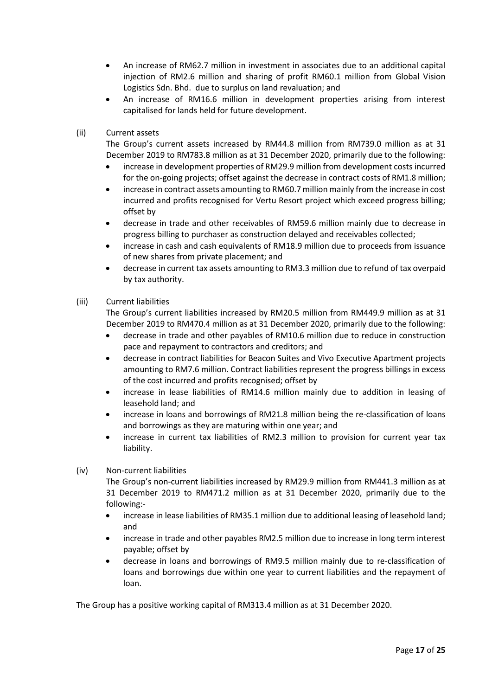- An increase of RM62.7 million in investment in associates due to an additional capital injection of RM2.6 million and sharing of profit RM60.1 million from Global Vision Logistics Sdn. Bhd. due to surplus on land revaluation; and
- An increase of RM16.6 million in development properties arising from interest capitalised for lands held for future development.
- (ii) Current assets

The Group's current assets increased by RM44.8 million from RM739.0 million as at 31 December 2019 to RM783.8 million as at 31 December 2020, primarily due to the following:

- increase in development properties of RM29.9 million from development costs incurred for the on-going projects; offset against the decrease in contract costs of RM1.8 million;
- increase in contract assets amounting to RM60.7 million mainly from the increase in cost incurred and profits recognised for Vertu Resort project which exceed progress billing; offset by
- decrease in trade and other receivables of RM59.6 million mainly due to decrease in progress billing to purchaser as construction delayed and receivables collected;
- increase in cash and cash equivalents of RM18.9 million due to proceeds from issuance of new shares from private placement; and
- decrease in current tax assets amounting to RM3.3 million due to refund of tax overpaid by tax authority.

## (iii) Current liabilities

The Group's current liabilities increased by RM20.5 million from RM449.9 million as at 31 December 2019 to RM470.4 million as at 31 December 2020, primarily due to the following:

- decrease in trade and other payables of RM10.6 million due to reduce in construction pace and repayment to contractors and creditors; and
- decrease in contract liabilities for Beacon Suites and Vivo Executive Apartment projects amounting to RM7.6 million. Contract liabilities represent the progress billings in excess of the cost incurred and profits recognised; offset by
- increase in lease liabilities of RM14.6 million mainly due to addition in leasing of leasehold land; and
- increase in loans and borrowings of RM21.8 million being the re-classification of loans and borrowings as they are maturing within one year; and
- increase in current tax liabilities of RM2.3 million to provision for current year tax liability.

## (iv) Non-current liabilities

The Group's non-current liabilities increased by RM29.9 million from RM441.3 million as at 31 December 2019 to RM471.2 million as at 31 December 2020, primarily due to the following:-

- increase in lease liabilities of RM35.1 million due to additional leasing of leasehold land; and
- increase in trade and other payables RM2.5 million due to increase in long term interest payable; offset by
- decrease in loans and borrowings of RM9.5 million mainly due to re-classification of loans and borrowings due within one year to current liabilities and the repayment of loan.

The Group has a positive working capital of RM313.4 million as at 31 December 2020.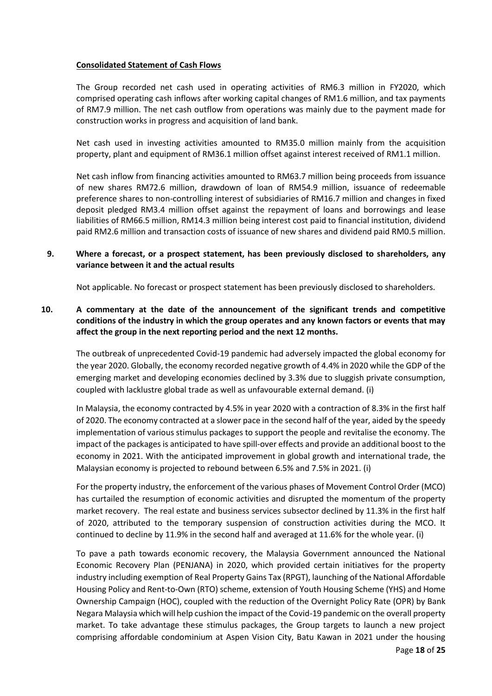### **Consolidated Statement of Cash Flows**

The Group recorded net cash used in operating activities of RM6.3 million in FY2020, which comprised operating cash inflows after working capital changes of RM1.6 million, and tax payments of RM7.9 million. The net cash outflow from operations was mainly due to the payment made for construction works in progress and acquisition of land bank.

Net cash used in investing activities amounted to RM35.0 million mainly from the acquisition property, plant and equipment of RM36.1 million offset against interest received of RM1.1 million.

Net cash inflow from financing activities amounted to RM63.7 million being proceeds from issuance of new shares RM72.6 million, drawdown of loan of RM54.9 million, issuance of redeemable preference shares to non-controlling interest of subsidiaries of RM16.7 million and changes in fixed deposit pledged RM3.4 million offset against the repayment of loans and borrowings and lease liabilities of RM66.5 million, RM14.3 million being interest cost paid to financial institution, dividend paid RM2.6 million and transaction costs of issuance of new shares and dividend paid RM0.5 million.

## **9. Where a forecast, or a prospect statement, has been previously disclosed to shareholders, any variance between it and the actual results**

Not applicable. No forecast or prospect statement has been previously disclosed to shareholders.

## **10. A commentary at the date of the announcement of the significant trends and competitive conditions of the industry in which the group operates and any known factors or events that may affect the group in the next reporting period and the next 12 months.**

The outbreak of unprecedented Covid-19 pandemic had adversely impacted the global economy for the year 2020. Globally, the economy recorded negative growth of 4.4% in 2020 while the GDP of the emerging market and developing economies declined by 3.3% due to sluggish private consumption, coupled with lacklustre global trade as well as unfavourable external demand. (i)

In Malaysia, the economy contracted by 4.5% in year 2020 with a contraction of 8.3% in the first half of 2020. The economy contracted at a slower pace in the second half of the year, aided by the speedy implementation of various stimulus packages to support the people and revitalise the economy. The impact of the packages is anticipated to have spill-over effects and provide an additional boost to the economy in 2021. With the anticipated improvement in global growth and international trade, the Malaysian economy is projected to rebound between 6.5% and 7.5% in 2021. (i)

For the property industry, the enforcement of the various phases of Movement Control Order (MCO) has curtailed the resumption of economic activities and disrupted the momentum of the property market recovery. The real estate and business services subsector declined by 11.3% in the first half of 2020, attributed to the temporary suspension of construction activities during the MCO. It continued to decline by 11.9% in the second half and averaged at 11.6% for the whole year. (i)

To pave a path towards economic recovery, the Malaysia Government announced the National Economic Recovery Plan (PENJANA) in 2020, which provided certain initiatives for the property industry including exemption of Real Property Gains Tax (RPGT), launching of the National Affordable Housing Policy and Rent-to-Own (RTO) scheme, extension of Youth Housing Scheme (YHS) and Home Ownership Campaign (HOC), coupled with the reduction of the Overnight Policy Rate (OPR) by Bank Negara Malaysia which will help cushion the impact of the Covid-19 pandemic on the overall property market. To take advantage these stimulus packages, the Group targets to launch a new project comprising affordable condominium at Aspen Vision City, Batu Kawan in 2021 under the housing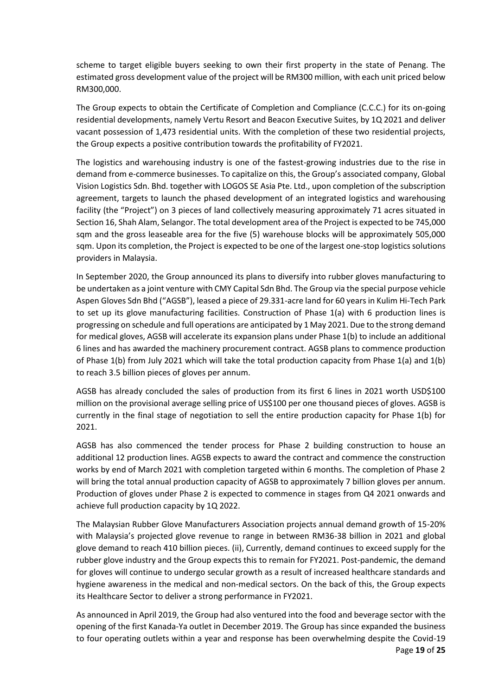scheme to target eligible buyers seeking to own their first property in the state of Penang. The estimated gross development value of the project will be RM300 million, with each unit priced below RM300,000.

The Group expects to obtain the Certificate of Completion and Compliance (C.C.C.) for its on-going residential developments, namely Vertu Resort and Beacon Executive Suites, by 1Q 2021 and deliver vacant possession of 1,473 residential units. With the completion of these two residential projects, the Group expects a positive contribution towards the profitability of FY2021.

The logistics and warehousing industry is one of the fastest-growing industries due to the rise in demand from e-commerce businesses. To capitalize on this, the Group's associated company, Global Vision Logistics Sdn. Bhd. together with LOGOS SE Asia Pte. Ltd., upon completion of the subscription agreement, targets to launch the phased development of an integrated logistics and warehousing facility (the "Project") on 3 pieces of land collectively measuring approximately 71 acres situated in Section 16, Shah Alam, Selangor. The total development area of the Project is expected to be 745,000 sqm and the gross leaseable area for the five (5) warehouse blocks will be approximately 505,000 sqm. Upon its completion, the Project is expected to be one of the largest one-stop logistics solutions providers in Malaysia.

In September 2020, the Group announced its plans to diversify into rubber gloves manufacturing to be undertaken as a joint venture with CMY Capital Sdn Bhd. The Group via the special purpose vehicle Aspen Gloves Sdn Bhd ("AGSB"), leased a piece of 29.331-acre land for 60 years in Kulim Hi-Tech Park to set up its glove manufacturing facilities. Construction of Phase 1(a) with 6 production lines is progressing on schedule and full operations are anticipated by 1 May 2021. Due to the strong demand for medical gloves, AGSB will accelerate its expansion plans under Phase 1(b) to include an additional 6 lines and has awarded the machinery procurement contract. AGSB plans to commence production of Phase 1(b) from July 2021 which will take the total production capacity from Phase 1(a) and 1(b) to reach 3.5 billion pieces of gloves per annum.

AGSB has already concluded the sales of production from its first 6 lines in 2021 worth USD\$100 million on the provisional average selling price of US\$100 per one thousand pieces of gloves. AGSB is currently in the final stage of negotiation to sell the entire production capacity for Phase 1(b) for 2021.

AGSB has also commenced the tender process for Phase 2 building construction to house an additional 12 production lines. AGSB expects to award the contract and commence the construction works by end of March 2021 with completion targeted within 6 months. The completion of Phase 2 will bring the total annual production capacity of AGSB to approximately 7 billion gloves per annum. Production of gloves under Phase 2 is expected to commence in stages from Q4 2021 onwards and achieve full production capacity by 1Q 2022.

The Malaysian Rubber Glove Manufacturers Association projects annual demand growth of 15-20% with Malaysia's projected glove revenue to range in between RM36-38 billion in 2021 and global glove demand to reach 410 billion pieces. (ii), Currently, demand continues to exceed supply for the rubber glove industry and the Group expects this to remain for FY2021. Post-pandemic, the demand for gloves will continue to undergo secular growth as a result of increased healthcare standards and hygiene awareness in the medical and non-medical sectors. On the back of this, the Group expects its Healthcare Sector to deliver a strong performance in FY2021.

Page **19** of **25** As announced in April 2019, the Group had also ventured into the food and beverage sector with the opening of the first Kanada-Ya outlet in December 2019. The Group has since expanded the business to four operating outlets within a year and response has been overwhelming despite the Covid-19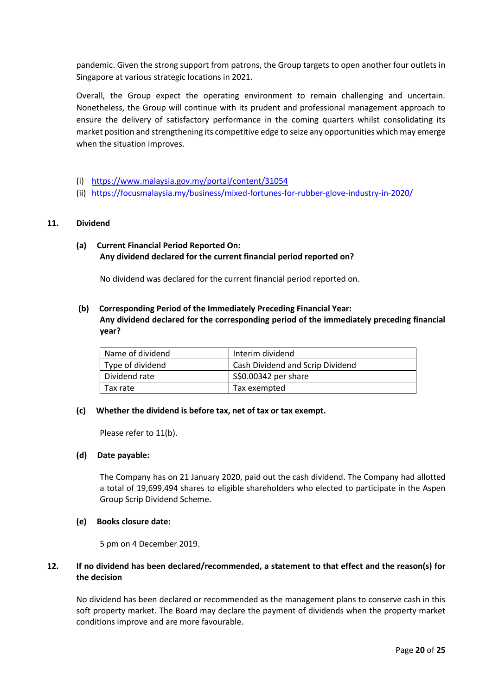pandemic. Given the strong support from patrons, the Group targets to open another four outlets in Singapore at various strategic locations in 2021.

Overall, the Group expect the operating environment to remain challenging and uncertain. Nonetheless, the Group will continue with its prudent and professional management approach to ensure the delivery of satisfactory performance in the coming quarters whilst consolidating its market position and strengthening its competitive edge to seize any opportunities which may emerge when the situation improves.

- (i) <https://www.malaysia.gov.my/portal/content/31054>
- (ii) <https://focusmalaysia.my/business/mixed-fortunes-for-rubber-glove-industry-in-2020/>

#### **11. Dividend**

**(a) Current Financial Period Reported On: Any dividend declared for the current financial period reported on?**

No dividend was declared for the current financial period reported on.

## **(b) Corresponding Period of the Immediately Preceding Financial Year: Any dividend declared for the corresponding period of the immediately preceding financial year?**

| Name of dividend | Interim dividend                 |
|------------------|----------------------------------|
| Type of dividend | Cash Dividend and Scrip Dividend |
| Dividend rate    | \$\$0.00342 per share            |
| Tax rate         | Tax exempted                     |

#### **(c) Whether the dividend is before tax, net of tax or tax exempt.**

Please refer to 11(b).

#### **(d) Date payable:**

The Company has on 21 January 2020, paid out the cash dividend. The Company had allotted a total of 19,699,494 shares to eligible shareholders who elected to participate in the Aspen Group Scrip Dividend Scheme.

#### **(e) Books closure date:**

5 pm on 4 December 2019.

## **12. If no dividend has been declared/recommended, a statement to that effect and the reason(s) for the decision**

No dividend has been declared or recommended as the management plans to conserve cash in this soft property market. The Board may declare the payment of dividends when the property market conditions improve and are more favourable.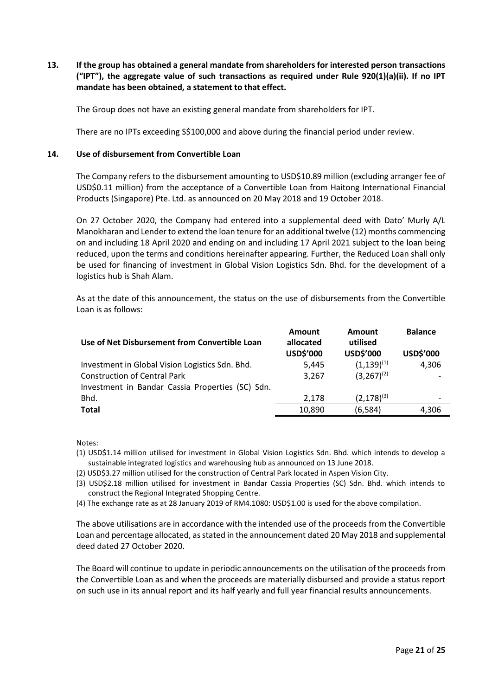**13. If the group has obtained a general mandate from shareholders for interested person transactions ("IPT"), the aggregate value of such transactions as required under Rule 920(1)(a)(ii). If no IPT mandate has been obtained, a statement to that effect.**

The Group does not have an existing general mandate from shareholders for IPT.

There are no IPTs exceeding S\$100,000 and above during the financial period under review.

## **14. Use of disbursement from Convertible Loan**

The Company refers to the disbursement amounting to USD\$10.89 million (excluding arranger fee of USD\$0.11 million) from the acceptance of a Convertible Loan from Haitong International Financial Products (Singapore) Pte. Ltd. as announced on 20 May 2018 and 19 October 2018.

On 27 October 2020, the Company had entered into a supplemental deed with Dato' Murly A/L Manokharan and Lender to extend the loan tenure for an additional twelve (12) months commencing on and including 18 April 2020 and ending on and including 17 April 2021 subject to the loan being reduced, upon the terms and conditions hereinafter appearing. Further, the Reduced Loan shall only be used for financing of investment in Global Vision Logistics Sdn. Bhd. for the development of a logistics hub is Shah Alam.

As at the date of this announcement, the status on the use of disbursements from the Convertible Loan is as follows:

| Use of Net Disbursement from Convertible Loan    | Amount<br>allocated<br>USD\$'000 | Amount<br>utilised<br>USD\$'000 | <b>Balance</b><br>USD\$'000 |
|--------------------------------------------------|----------------------------------|---------------------------------|-----------------------------|
| Investment in Global Vision Logistics Sdn. Bhd.  | 5.445                            | $(1,139)^{(1)}$                 | 4,306                       |
| <b>Construction of Central Park</b>              | 3.267                            | $(3,267)^{(2)}$                 |                             |
| Investment in Bandar Cassia Properties (SC) Sdn. |                                  |                                 |                             |
| Bhd.                                             | 2,178                            | $(2,178)^{(3)}$                 |                             |
| <b>Total</b>                                     | 10,890                           | (6, 584)                        | 4.306                       |

Notes:

- (1) USD\$1.14 million utilised for investment in Global Vision Logistics Sdn. Bhd. which intends to develop a sustainable integrated logistics and warehousing hub as announced on 13 June 2018.
- (2) USD\$3.27 million utilised for the construction of Central Park located in Aspen Vision City.
- (3) USD\$2.18 million utilised for investment in Bandar Cassia Properties (SC) Sdn. Bhd. which intends to construct the Regional Integrated Shopping Centre.
- (4) The exchange rate as at 28 January 2019 of RM4.1080: USD\$1.00 is used for the above compilation.

The above utilisations are in accordance with the intended use of the proceeds from the Convertible Loan and percentage allocated, as stated in the announcement dated 20 May 2018 and supplemental deed dated 27 October 2020.

The Board will continue to update in periodic announcements on the utilisation of the proceeds from the Convertible Loan as and when the proceeds are materially disbursed and provide a status report on such use in its annual report and its half yearly and full year financial results announcements.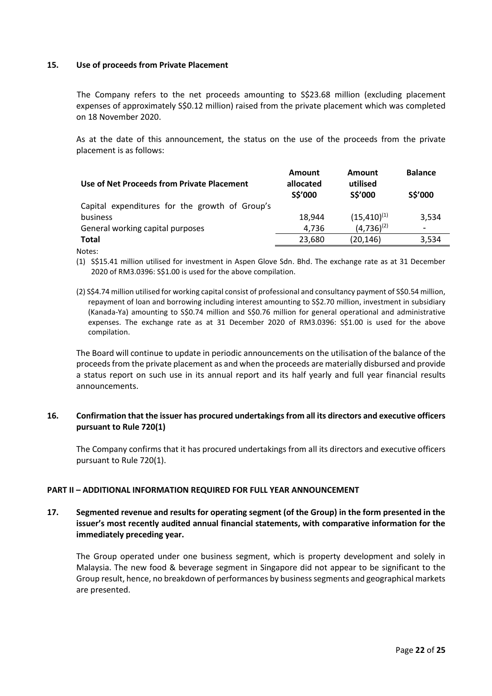#### **15. Use of proceeds from Private Placement**

The Company refers to the net proceeds amounting to S\$23.68 million (excluding placement expenses of approximately S\$0.12 million) raised from the private placement which was completed on 18 November 2020.

As at the date of this announcement, the status on the use of the proceeds from the private placement is as follows:

| Use of Net Proceeds from Private Placement     | Amount<br>allocated<br>S\$'000 | <b>Amount</b><br>utilised<br>S\$'000 | <b>Balance</b><br>S\$'000 |
|------------------------------------------------|--------------------------------|--------------------------------------|---------------------------|
| Capital expenditures for the growth of Group's |                                |                                      |                           |
| business                                       | 18.944                         | $(15, 410)^{(1)}$                    | 3,534                     |
| General working capital purposes               | 4,736                          | $(4,736)^{(2)}$                      | ۰                         |
| <b>Total</b>                                   | 23,680                         | (20, 146)                            | 3,534                     |

Notes:

- (1) S\$15.41 million utilised for investment in Aspen Glove Sdn. Bhd. The exchange rate as at 31 December 2020 of RM3.0396: S\$1.00 is used for the above compilation.
- (2) S\$4.74 million utilised for working capital consist of professional and consultancy payment of S\$0.54 million, repayment of loan and borrowing including interest amounting to S\$2.70 million, investment in subsidiary (Kanada-Ya) amounting to S\$0.74 million and S\$0.76 million for general operational and administrative expenses. The exchange rate as at 31 December 2020 of RM3.0396: S\$1.00 is used for the above compilation.

The Board will continue to update in periodic announcements on the utilisation of the balance of the proceeds from the private placement as and when the proceeds are materially disbursed and provide a status report on such use in its annual report and its half yearly and full year financial results announcements.

## **16. Confirmation that the issuer has procured undertakings from all its directors and executive officers pursuant to Rule 720(1)**

The Company confirms that it has procured undertakings from all its directors and executive officers pursuant to Rule 720(1).

## **PART II – ADDITIONAL INFORMATION REQUIRED FOR FULL YEAR ANNOUNCEMENT**

## **17. Segmented revenue and results for operating segment (of the Group) in the form presented in the issuer's most recently audited annual financial statements, with comparative information for the immediately preceding year.**

The Group operated under one business segment, which is property development and solely in Malaysia. The new food & beverage segment in Singapore did not appear to be significant to the Group result, hence, no breakdown of performances by business segments and geographical markets are presented.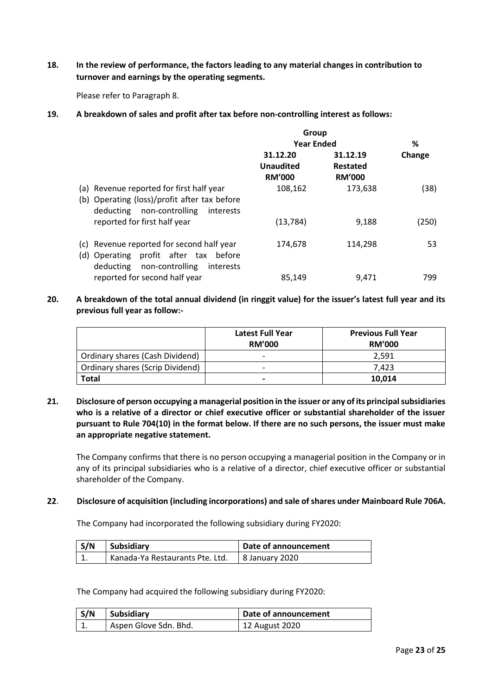**18. In the review of performance, the factors leading to any material changes in contribution to turnover and earnings by the operating segments.**

Please refer to Paragraph 8.

**19. A breakdown of sales and profit after tax before non-controlling interest as follows:**

|                                                                                                                                       | Group                                         |                                       |        |
|---------------------------------------------------------------------------------------------------------------------------------------|-----------------------------------------------|---------------------------------------|--------|
|                                                                                                                                       | <b>Year Ended</b>                             |                                       | %      |
|                                                                                                                                       | 31.12.20<br><b>Unaudited</b><br><b>RM'000</b> | 31.12.19<br>Restated<br><b>RM'000</b> | Change |
| (a) Revenue reported for first half year<br>(b) Operating (loss)/profit after tax before<br>deducting<br>non-controlling<br>interests | 108,162                                       | 173,638                               | (38)   |
| reported for first half year                                                                                                          | (13, 784)                                     | 9,188                                 | (250)  |
| (c) Revenue reported for second half year<br>(d) Operating profit after tax before<br>deducting non-controlling<br>interests          | 174,678                                       | 114,298                               | 53     |
| reported for second half year                                                                                                         | 85,149                                        | 9.471                                 | 799    |

**20. A breakdown of the total annual dividend (in ringgit value) for the issuer's latest full year and its previous full year as follow:-**

|                                  | <b>Latest Full Year</b><br><b>RM'000</b> | <b>Previous Full Year</b><br><b>RM'000</b> |
|----------------------------------|------------------------------------------|--------------------------------------------|
| Ordinary shares (Cash Dividend)  |                                          | 2,591                                      |
| Ordinary shares (Scrip Dividend) | $\overline{\phantom{0}}$                 | 7.423                                      |
| <b>Total</b>                     |                                          | 10.014                                     |

**21. Disclosure of person occupying a managerial position in the issuer or any of its principal subsidiaries who is a relative of a director or chief executive officer or substantial shareholder of the issuer pursuant to Rule 704(10) in the format below. If there are no such persons, the issuer must make an appropriate negative statement.**

The Company confirms that there is no person occupying a managerial position in the Company or in any of its principal subsidiaries who is a relative of a director, chief executive officer or substantial shareholder of the Company.

**22**. **Disclosure of acquisition (including incorporations) and sale of shares under Mainboard Rule 706A.**

The Company had incorporated the following subsidiary during FY2020:

| S/N | Subsidiary                      | Date of announcement |
|-----|---------------------------------|----------------------|
|     | Kanada-Ya Restaurants Pte. Ltd. | 8 January 2020       |

The Company had acquired the following subsidiary during FY2020:

| S/N | Subsidiary            | Date of announcement |
|-----|-----------------------|----------------------|
|     | Aspen Glove Sdn. Bhd. | 12 August 2020       |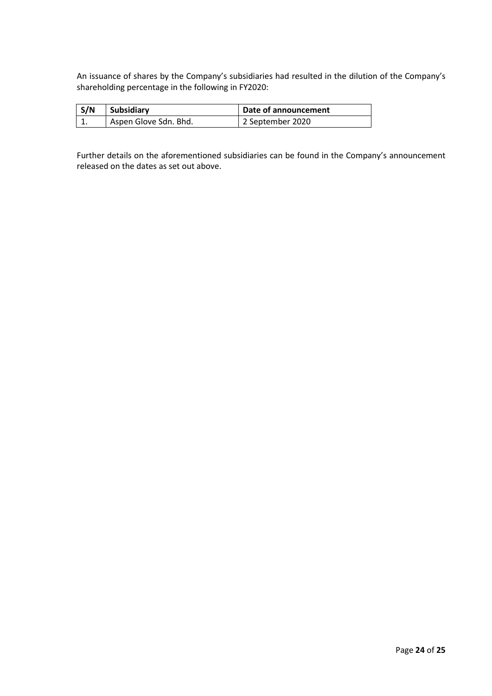An issuance of shares by the Company's subsidiaries had resulted in the dilution of the Company's shareholding percentage in the following in FY2020:

| S/N | Subsidiary            | Date of announcement |
|-----|-----------------------|----------------------|
| ᆠ.  | Aspen Glove Sdn. Bhd. | 2 September 2020     |

Further details on the aforementioned subsidiaries can be found in the Company's announcement released on the dates as set out above.